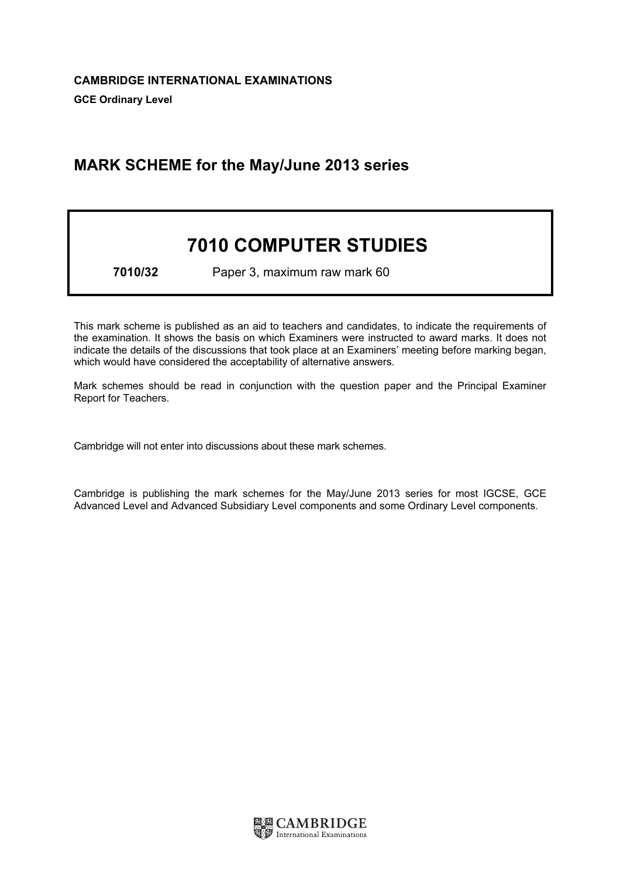# MARK SCHEME for the May/June 2013 series

# 7010 COMPUTER STUDIES

7010/32 Paper 3, maximum raw mark 60

This mark scheme is published as an aid to teachers and candidates, to indicate the requirements of the examination. It shows the basis on which Examiners were instructed to award marks. It does not indicate the details of the discussions that took place at an Examiners' meeting before marking began, which would have considered the acceptability of alternative answers.

Mark schemes should be read in conjunction with the question paper and the Principal Examiner Report for Teachers.

Cambridge will not enter into discussions about these mark schemes.

Cambridge is publishing the mark schemes for the May/June 2013 series for most IGCSE, GCE Advanced Level and Advanced Subsidiary Level components and some Ordinary Level components.

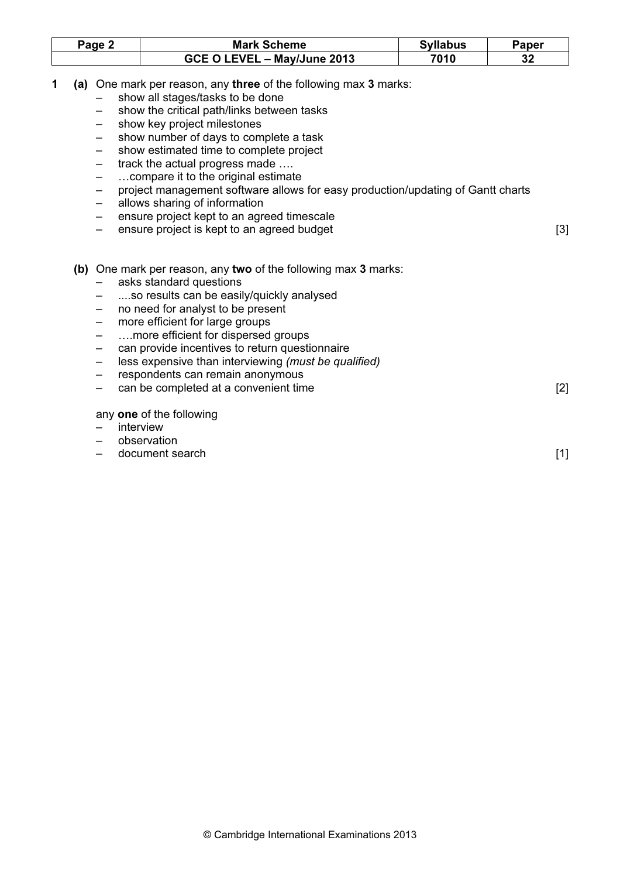| Page 2 | <b>Mark Scheme</b>          | <b>Syllabus</b> | $\mathop{}_{\mathbf{c}}$ aper |
|--------|-----------------------------|-----------------|-------------------------------|
|        | GCE O LEVEL - May/June 2013 | 7010            | 32                            |

- 1 (a) One mark per reason, any three of the following max 3 marks:
	- show all stages/tasks to be done
	- show the critical path/links between tasks
	- show key project milestones
	- show number of days to complete a task
	- show estimated time to complete project
	- track the actual progress made ....
	- …compare it to the original estimate
	- project management software allows for easy production/updating of Gantt charts
	- allows sharing of information
	- ensure project kept to an agreed timescale
	- ensure project is kept to an agreed budget [3]
	- (b) One mark per reason, any two of the following max 3 marks:
		- asks standard questions
		- ....so results can be easily/quickly analysed
		- no need for analyst to be present
		- more efficient for large groups
		- ….more efficient for dispersed groups
		- can provide incentives to return questionnaire
		- less expensive than interviewing (must be qualified)
		- respondents can remain anonymous
		- can be completed at a convenient time [2]

any one of the following

- **interview**
- observation
- document search [1]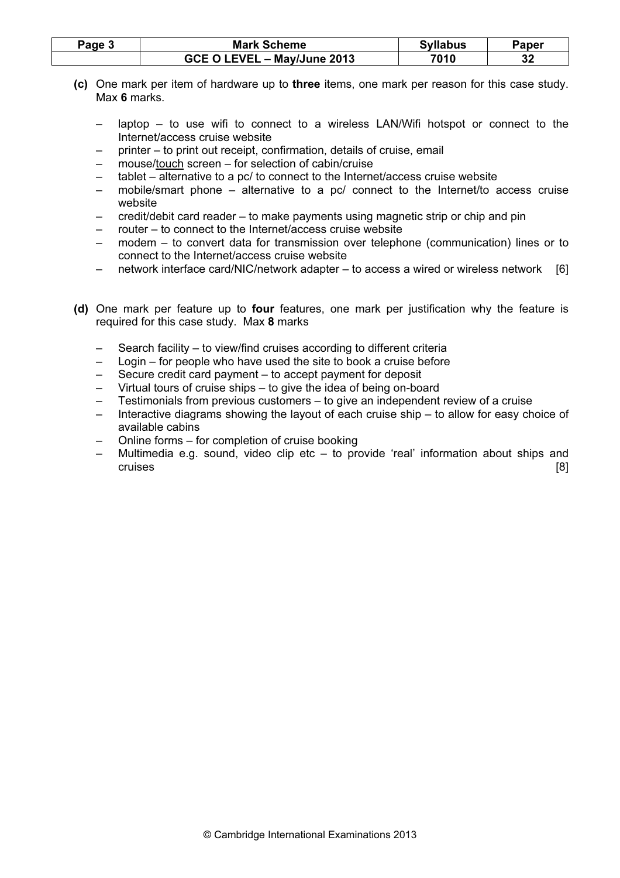| Page 3 | <b>Mark Scheme</b>          | <b>Syllabus</b> | Paper |
|--------|-----------------------------|-----------------|-------|
|        | GCE O LEVEL - May/June 2013 | 7010            | 32    |

- (c) One mark per item of hardware up to three items, one mark per reason for this case study. Max 6 marks.
	- laptop to use wifi to connect to a wireless LAN/Wifi hotspot or connect to the Internet/access cruise website
	- printer to print out receipt, confirmation, details of cruise, email
	- mouse/touch screen for selection of cabin/cruise
	- tablet alternative to a pc/ to connect to the Internet/access cruise website
	- mobile/smart phone alternative to a pc/ connect to the Internet/to access cruise website
	- credit/debit card reader to make payments using magnetic strip or chip and pin
	- router to connect to the Internet/access cruise website
	- modem to convert data for transmission over telephone (communication) lines or to connect to the Internet/access cruise website
	- network interface card/NIC/network adapter to access a wired or wireless network [6]
- (d) One mark per feature up to four features, one mark per justification why the feature is required for this case study. Max 8 marks
	- Search facility to view/find cruises according to different criteria
	- Login for people who have used the site to book a cruise before
	- Secure credit card payment to accept payment for deposit
	- Virtual tours of cruise ships to give the idea of being on-board
	- Testimonials from previous customers to give an independent review of a cruise
	- Interactive diagrams showing the layout of each cruise ship to allow for easy choice of available cabins
	- Online forms for completion of cruise booking
	- Multimedia e.g. sound, video clip etc to provide 'real' information about ships and cruises [8]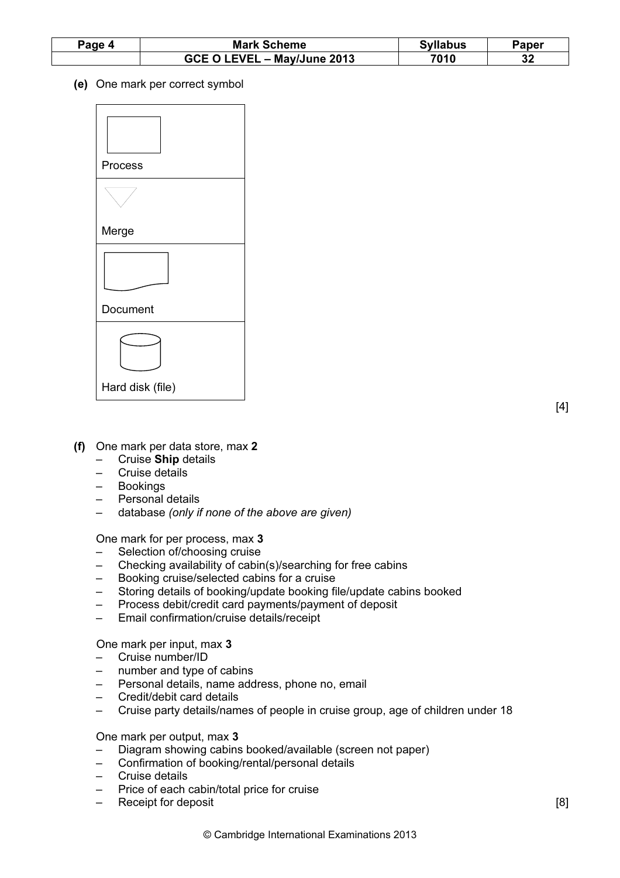| Page 4 | <b>Mark Scheme</b>          | <b>Syllabus</b> | Paper    |
|--------|-----------------------------|-----------------|----------|
|        | GCE O LEVEL - May/June 2013 | 7010            | n n<br>ം |

(e) One mark per correct symbol



- (f) One mark per data store, max 2
	- Cruise Ship details
	- Cruise details
	- **Bookings**
	- Personal details
	- database (only if none of the above are given)

One mark for per process, max 3

- Selection of/choosing cruise
- Checking availability of cabin(s)/searching for free cabins
- Booking cruise/selected cabins for a cruise
- Storing details of booking/update booking file/update cabins booked
- Process debit/credit card payments/payment of deposit
- Email confirmation/cruise details/receipt

One mark per input, max 3

- Cruise number/ID
- number and type of cabins
- Personal details, name address, phone no, email
- Credit/debit card details
- Cruise party details/names of people in cruise group, age of children under 18

# One mark per output, max 3

- Diagram showing cabins booked/available (screen not paper)
- Confirmation of booking/rental/personal details
- Cruise details
- Price of each cabin/total price for cruise
- Receipt for deposit [8]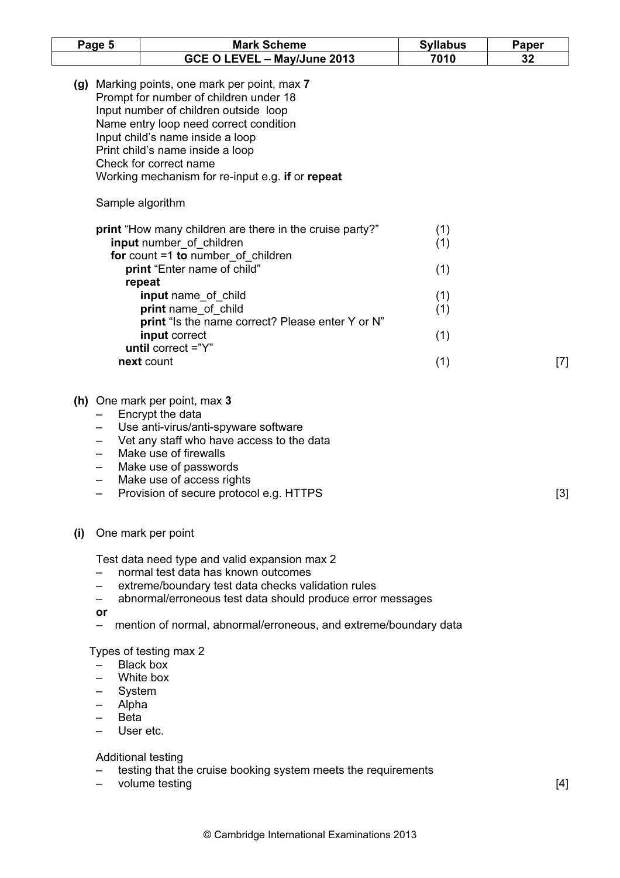| Page 5                         | <b>Mark Scheme</b>                                                                                                                                                                                                                                                                                                               | <b>Syllabus</b> | Paper |
|--------------------------------|----------------------------------------------------------------------------------------------------------------------------------------------------------------------------------------------------------------------------------------------------------------------------------------------------------------------------------|-----------------|-------|
|                                | GCE O LEVEL - May/June 2013                                                                                                                                                                                                                                                                                                      | 7010            | 32    |
|                                | (g) Marking points, one mark per point, max 7<br>Prompt for number of children under 18<br>Input number of children outside loop<br>Name entry loop need correct condition<br>Input child's name inside a loop<br>Print child's name inside a loop<br>Check for correct name<br>Working mechanism for re-input e.g. if or repeat |                 |       |
|                                | Sample algorithm                                                                                                                                                                                                                                                                                                                 |                 |       |
|                                | print "How many children are there in the cruise party?"<br>input number_of_children                                                                                                                                                                                                                                             | (1)<br>(1)      |       |
|                                | for count $=1$ to number of children<br>print "Enter name of child"<br>repeat                                                                                                                                                                                                                                                    | (1)             |       |
|                                | input name_of_child<br>print name of child                                                                                                                                                                                                                                                                                       | (1)<br>(1)      |       |
|                                | print "Is the name correct? Please enter Y or N"<br>input correct<br>until correct $=$ "Y"                                                                                                                                                                                                                                       | (1)             |       |
|                                | next count                                                                                                                                                                                                                                                                                                                       | (1)             | $[7]$ |
|                                | (h) One mark per point, max 3<br>Encrypt the data<br>Use anti-virus/anti-spyware software<br>Vet any staff who have access to the data<br>Make use of firewalls<br>Make use of passwords<br>Make use of access rights<br>Provision of secure protocol e.g. HTTPS                                                                 |                 | $[3]$ |
| (i)                            | One mark per point                                                                                                                                                                                                                                                                                                               |                 |       |
| or                             | Test data need type and valid expansion max 2<br>normal test data has known outcomes<br>extreme/boundary test data checks validation rules<br>abnormal/erroneous test data should produce error messages                                                                                                                         |                 |       |
|                                | mention of normal, abnormal/erroneous, and extreme/boundary data                                                                                                                                                                                                                                                                 |                 |       |
| System<br>Alpha<br><b>Beta</b> | Types of testing max 2<br>Black box<br>White box<br>User etc.<br>Additional testing                                                                                                                                                                                                                                              |                 |       |

- testing that the cruise booking system meets the requirements
- volume testing [4]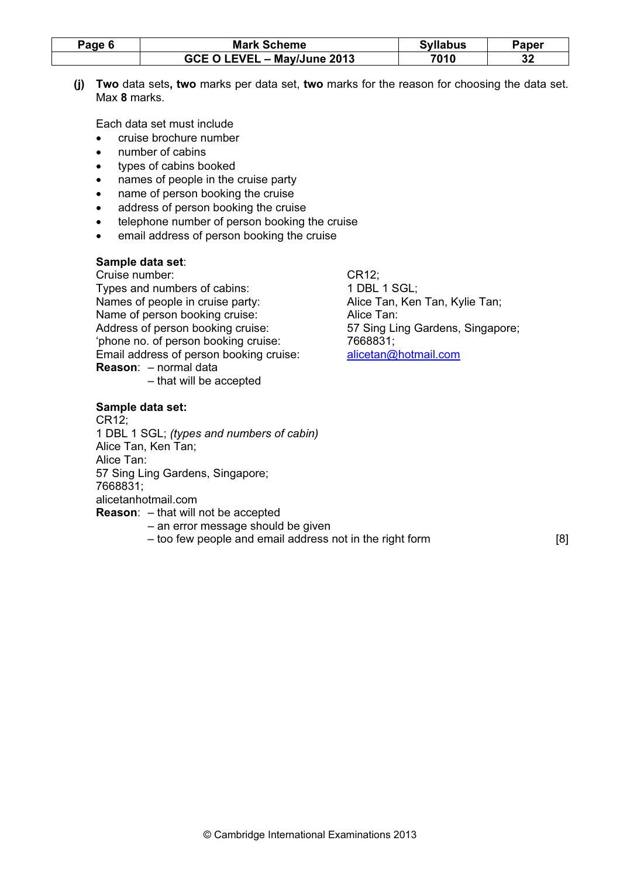| Page 6 | <b>Mark Scheme</b>          | <b>Syllabus</b> | Paper    |
|--------|-----------------------------|-----------------|----------|
|        | GCE O LEVEL - May/June 2013 | 7010            | っぺ<br>32 |

 (j) Two data sets, two marks per data set, two marks for the reason for choosing the data set. Max 8 marks.

Each data set must include

- cruise brochure number
- number of cabins
- types of cabins booked
- names of people in the cruise party
- name of person booking the cruise
- address of person booking the cruise
- telephone number of person booking the cruise
- email address of person booking the cruise

# Sample data set:

 Cruise number: CR12; Types and numbers of cabins: 1 DBL 1 SGL; Names of people in cruise party: Alice Tan, Ken Tan, Kylie Tan; Name of person booking cruise: Alice Tan: Address of person booking cruise: 57 Sing Ling Gardens, Singapore; 'phone no. of person booking cruise: 7668831; Email address of person booking cruise: alicetan@hotmail.com Reason: – normal data – that will be accepted

# Sample data set:

 CR12; 1 DBL 1 SGL; (types and numbers of cabin) Alice Tan, Ken Tan; Alice Tan: 57 Sing Ling Gardens, Singapore; 7668831; alicetanhotmail.com Reason: – that will not be accepted

- an error message should be given
- too few people and email address not in the right form [8]